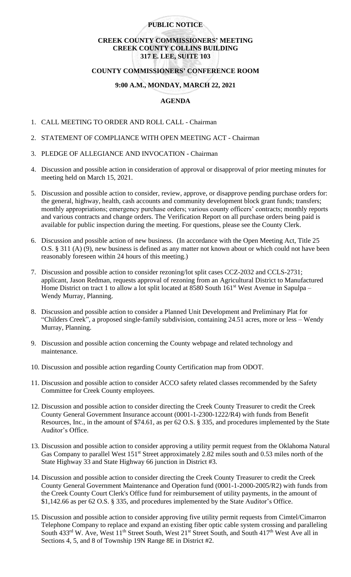# **PUBLIC NOTICE**

# **CREEK COUNTY COMMISSIONERS' MEETING CREEK COUNTY COLLINS BUILDING 317 E. LEE, SUITE 103**

# **COUNTY COMMISSIONERS' CONFERENCE ROOM**

# **9:00 A.M., MONDAY, MARCH 22, 2021**

#### **AGENDA**

- 1. CALL MEETING TO ORDER AND ROLL CALL Chairman
- 2. STATEMENT OF COMPLIANCE WITH OPEN MEETING ACT Chairman
- 3. PLEDGE OF ALLEGIANCE AND INVOCATION Chairman
- 4. Discussion and possible action in consideration of approval or disapproval of prior meeting minutes for meeting held on March 15, 2021.
- 5. Discussion and possible action to consider, review, approve, or disapprove pending purchase orders for: the general, highway, health, cash accounts and community development block grant funds; transfers; monthly appropriations; emergency purchase orders; various county officers' contracts; monthly reports and various contracts and change orders. The Verification Report on all purchase orders being paid is available for public inspection during the meeting. For questions, please see the County Clerk.
- 6. Discussion and possible action of new business. (In accordance with the Open Meeting Act, Title 25 O.S. § 311 (A) (9), new business is defined as any matter not known about or which could not have been reasonably foreseen within 24 hours of this meeting.)
- 7. Discussion and possible action to consider rezoning/lot split cases CCZ-2032 and CCLS-2731; applicant, Jason Redman, requests approval of rezoning from an Agricultural District to Manufactured Home District on tract 1 to allow a lot split located at 8580 South  $161^{st}$  West Avenue in Sapulpa – Wendy Murray, Planning.
- 8. Discussion and possible action to consider a Planned Unit Development and Preliminary Plat for "Childers Creek", a proposed single-family subdivision, containing 24.51 acres, more or less – Wendy Murray, Planning.
- 9. Discussion and possible action concerning the County webpage and related technology and maintenance.
- 10. Discussion and possible action regarding County Certification map from ODOT.
- 11. Discussion and possible action to consider ACCO safety related classes recommended by the Safety Committee for Creek County employees.
- 12. Discussion and possible action to consider directing the Creek County Treasurer to credit the Creek County General Government Insurance account (0001-1-2300-1222/R4) with funds from Benefit Resources, Inc., in the amount of \$74.61, as per 62 O.S. § 335, and procedures implemented by the State Auditor's Office.
- 13. Discussion and possible action to consider approving a utility permit request from the Oklahoma Natural Gas Company to parallel West 151<sup>st</sup> Street approximately 2.82 miles south and 0.53 miles north of the State Highway 33 and State Highway 66 junction in District #3.
- 14. Discussion and possible action to consider directing the Creek County Treasurer to credit the Creek County General Government Maintenance and Operation fund (0001-1-2000-2005/R2) with funds from the Creek County Court Clerk's Office fund for reimbursement of utility payments, in the amount of \$1,142.66 as per 62 O.S. § 335, and procedures implemented by the State Auditor's Office.
- 15. Discussion and possible action to consider approving five utility permit requests from Cimtel/Cimarron Telephone Company to replace and expand an existing fiber optic cable system crossing and paralleling South  $433<sup>rd</sup>$  W. Ave, West  $11<sup>th</sup>$  Street South, West  $21<sup>st</sup>$  Street South, and South  $417<sup>th</sup>$  West Ave all in Sections 4, 5, and 8 of Township 19N Range 8E in District #2.